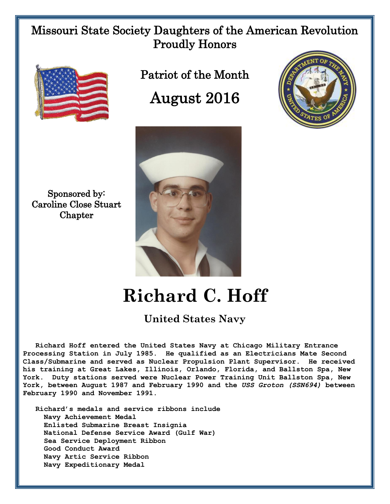## Missouri State Society Daughters of the American Revolution Proudly Honors



Sponsored by: Caroline Close Stuart **Chapter** 

Patriot of the Month August 2016





## **Richard C. Hoff**

## **United States Navy**

 **Richard Hoff entered the United States Navy at Chicago Military Entrance Processing Station in July 1985. He qualified as an Electricians Mate Second Class/Submarine and served as Nuclear Propulsion Plant Supervisor. He received his training at Great Lakes, Illinois, Orlando, Florida, and Ballston Spa, New York. Duty stations served were Nuclear Power Training Unit Ballston Spa, New York, between August 1987 and February 1990 and the** *USS Groton (SSN694)* **between February 1990 and November 1991.**

 **Richard's medals and service ribbons include Navy Achievement Medal Enlisted Submarine Breast Insignia National Defense Service Award (Gulf War) Sea Service Deployment Ribbon Good Conduct Award Navy Artic Service Ribbon Navy Expeditionary Medal**